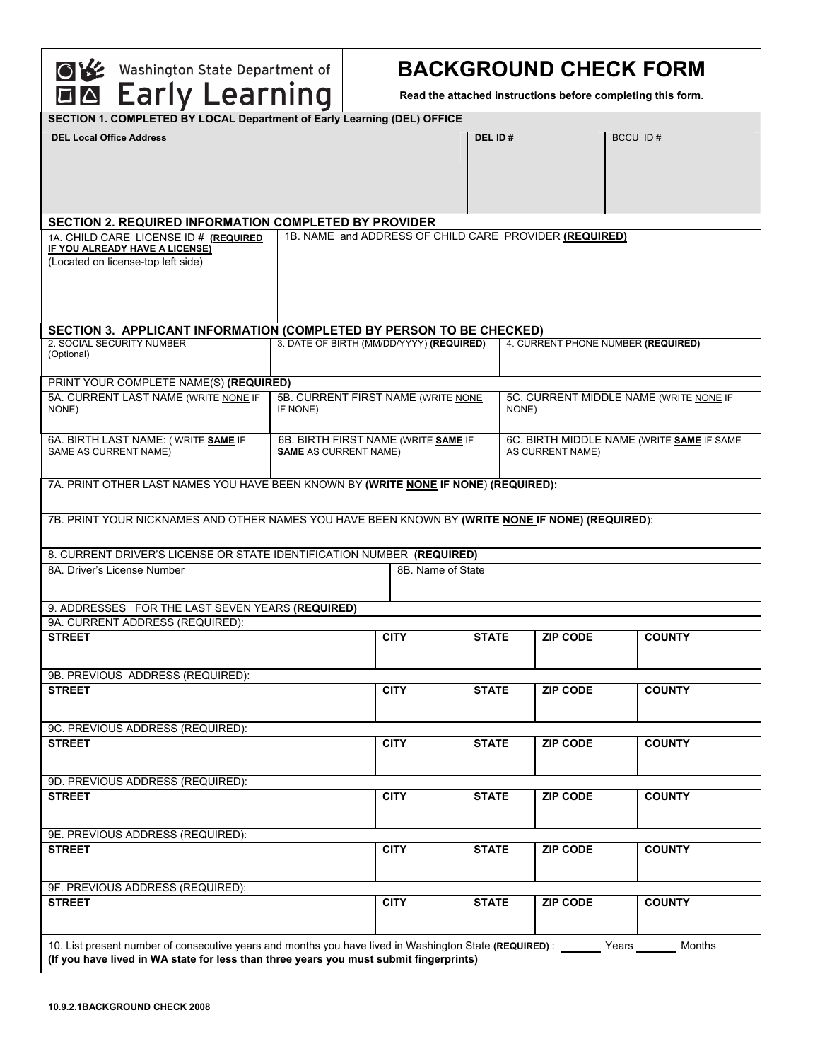OV Washington State Department of

# **BACKGROUND CHECK FORM**

**Read the attached instructions before completing this form.** 

| SECTION 1. COMPLETED BY LOCAL Department of Early Learning (DEL) OFFICE                                            |                                          |                                                        |                   |              |                                           |                         |                                    |  |  |  |
|--------------------------------------------------------------------------------------------------------------------|------------------------------------------|--------------------------------------------------------|-------------------|--------------|-------------------------------------------|-------------------------|------------------------------------|--|--|--|
| <b>DEL Local Office Address</b>                                                                                    |                                          |                                                        |                   | DEL ID#      |                                           |                         | BCCU ID#                           |  |  |  |
|                                                                                                                    |                                          |                                                        |                   |              |                                           |                         |                                    |  |  |  |
|                                                                                                                    |                                          |                                                        |                   |              |                                           |                         |                                    |  |  |  |
|                                                                                                                    |                                          |                                                        |                   |              |                                           |                         |                                    |  |  |  |
|                                                                                                                    |                                          |                                                        |                   |              |                                           |                         |                                    |  |  |  |
|                                                                                                                    |                                          |                                                        |                   |              |                                           |                         |                                    |  |  |  |
| <b>SECTION 2. REQUIRED INFORMATION COMPLETED BY PROVIDER</b>                                                       |                                          |                                                        |                   |              |                                           |                         |                                    |  |  |  |
| 1A. CHILD CARE LICENSE ID # (REQUIRED<br><b>IF YOU ALREADY HAVE A LICENSE)</b>                                     |                                          | 1B. NAME and ADDRESS OF CHILD CARE PROVIDER (REQUIRED) |                   |              |                                           |                         |                                    |  |  |  |
| (Located on license-top left side)                                                                                 |                                          |                                                        |                   |              |                                           |                         |                                    |  |  |  |
|                                                                                                                    |                                          |                                                        |                   |              |                                           |                         |                                    |  |  |  |
|                                                                                                                    |                                          |                                                        |                   |              |                                           |                         |                                    |  |  |  |
|                                                                                                                    |                                          |                                                        |                   |              |                                           |                         |                                    |  |  |  |
|                                                                                                                    |                                          |                                                        |                   |              |                                           |                         |                                    |  |  |  |
| SECTION 3. APPLICANT INFORMATION (COMPLETED BY PERSON TO BE CHECKED)                                               |                                          |                                                        |                   |              |                                           |                         |                                    |  |  |  |
| 2. SOCIAL SECURITY NUMBER                                                                                          | 3. DATE OF BIRTH (MM/DD/YYYY) (REQUIRED) |                                                        |                   |              |                                           |                         | 4. CURRENT PHONE NUMBER (REQUIRED) |  |  |  |
| (Optional)                                                                                                         |                                          |                                                        |                   |              |                                           |                         |                                    |  |  |  |
|                                                                                                                    |                                          |                                                        |                   |              |                                           |                         |                                    |  |  |  |
| PRINT YOUR COMPLETE NAME(S) (REQUIRED)                                                                             |                                          |                                                        |                   |              |                                           |                         |                                    |  |  |  |
| 5A. CURRENT LAST NAME (WRITE NONE IF                                                                               | 5B. CURRENT FIRST NAME (WRITE NONE       |                                                        |                   |              | 5C. CURRENT MIDDLE NAME (WRITE NONE IF    |                         |                                    |  |  |  |
| NONE)                                                                                                              | IF NONE)                                 |                                                        |                   |              | NONE)                                     |                         |                                    |  |  |  |
|                                                                                                                    |                                          |                                                        |                   |              |                                           |                         |                                    |  |  |  |
| 6A. BIRTH LAST NAME: (WRITE SAME IF                                                                                |                                          | 6B. BIRTH FIRST NAME (WRITE SAME IF                    |                   |              | 6C. BIRTH MIDDLE NAME (WRITE SAME IF SAME |                         |                                    |  |  |  |
| SAME AS CURRENT NAME)                                                                                              | <b>SAME AS CURRENT NAME)</b>             |                                                        |                   |              |                                           | <b>AS CURRENT NAME)</b> |                                    |  |  |  |
|                                                                                                                    |                                          |                                                        |                   |              |                                           |                         |                                    |  |  |  |
| 7A. PRINT OTHER LAST NAMES YOU HAVE BEEN KNOWN BY (WRITE NONE IF NONE) (REQUIRED):                                 |                                          |                                                        |                   |              |                                           |                         |                                    |  |  |  |
|                                                                                                                    |                                          |                                                        |                   |              |                                           |                         |                                    |  |  |  |
|                                                                                                                    |                                          |                                                        |                   |              |                                           |                         |                                    |  |  |  |
| 7B. PRINT YOUR NICKNAMES AND OTHER NAMES YOU HAVE BEEN KNOWN BY (WRITE NONE IF NONE) (REQUIRED):                   |                                          |                                                        |                   |              |                                           |                         |                                    |  |  |  |
|                                                                                                                    |                                          |                                                        |                   |              |                                           |                         |                                    |  |  |  |
| 8. CURRENT DRIVER'S LICENSE OR STATE IDENTIFICATION NUMBER (REQUIRED)                                              |                                          |                                                        |                   |              |                                           |                         |                                    |  |  |  |
| 8A. Driver's License Number                                                                                        |                                          |                                                        | 8B. Name of State |              |                                           |                         |                                    |  |  |  |
|                                                                                                                    |                                          |                                                        |                   |              |                                           |                         |                                    |  |  |  |
|                                                                                                                    |                                          |                                                        |                   |              |                                           |                         |                                    |  |  |  |
| 9. ADDRESSES FOR THE LAST SEVEN YEARS (REQUIRED)                                                                   |                                          |                                                        |                   |              |                                           |                         |                                    |  |  |  |
| 9A. CURRENT ADDRESS (REQUIRED):                                                                                    |                                          |                                                        |                   |              |                                           |                         |                                    |  |  |  |
| <b>STREET</b>                                                                                                      |                                          | <b>CITY</b>                                            |                   | <b>STATE</b> |                                           | <b>ZIP CODE</b>         | <b>COUNTY</b>                      |  |  |  |
|                                                                                                                    |                                          |                                                        |                   |              |                                           |                         |                                    |  |  |  |
| 9B. PREVIOUS ADDRESS (REQUIRED):                                                                                   |                                          |                                                        |                   |              |                                           |                         |                                    |  |  |  |
| <b>STREET</b>                                                                                                      |                                          | <b>CITY</b>                                            |                   | <b>STATE</b> |                                           | <b>ZIP CODE</b>         | <b>COUNTY</b>                      |  |  |  |
|                                                                                                                    |                                          |                                                        |                   |              |                                           |                         |                                    |  |  |  |
|                                                                                                                    |                                          |                                                        |                   |              |                                           |                         |                                    |  |  |  |
| 9C. PREVIOUS ADDRESS (REQUIRED):                                                                                   |                                          |                                                        |                   |              |                                           |                         |                                    |  |  |  |
| <b>STREET</b>                                                                                                      |                                          | <b>CITY</b>                                            |                   | <b>STATE</b> |                                           | <b>ZIP CODE</b>         | <b>COUNTY</b>                      |  |  |  |
|                                                                                                                    |                                          |                                                        |                   |              |                                           |                         |                                    |  |  |  |
|                                                                                                                    |                                          |                                                        |                   |              |                                           |                         |                                    |  |  |  |
| 9D. PREVIOUS ADDRESS (REQUIRED):                                                                                   |                                          |                                                        |                   |              |                                           |                         |                                    |  |  |  |
| <b>STREET</b>                                                                                                      |                                          | <b>CITY</b>                                            |                   | <b>STATE</b> |                                           | <b>ZIP CODE</b>         | <b>COUNTY</b>                      |  |  |  |
|                                                                                                                    |                                          |                                                        |                   |              |                                           |                         |                                    |  |  |  |
| 9E. PREVIOUS ADDRESS (REQUIRED):                                                                                   |                                          |                                                        |                   |              |                                           |                         |                                    |  |  |  |
| <b>STREET</b>                                                                                                      |                                          | <b>CITY</b>                                            |                   | <b>STATE</b> |                                           | <b>ZIP CODE</b>         | <b>COUNTY</b>                      |  |  |  |
|                                                                                                                    |                                          |                                                        |                   |              |                                           |                         |                                    |  |  |  |
|                                                                                                                    |                                          |                                                        |                   |              |                                           |                         |                                    |  |  |  |
| 9F. PREVIOUS ADDRESS (REQUIRED):                                                                                   |                                          |                                                        |                   |              |                                           |                         |                                    |  |  |  |
| <b>STREET</b>                                                                                                      |                                          | <b>CITY</b>                                            |                   | <b>STATE</b> |                                           | <b>ZIP CODE</b>         | <b>COUNTY</b>                      |  |  |  |
|                                                                                                                    |                                          |                                                        |                   |              |                                           |                         |                                    |  |  |  |
|                                                                                                                    |                                          |                                                        |                   |              |                                           |                         |                                    |  |  |  |
| 10. List present number of consecutive years and months you have lived in Washington State (REQUIRED): Vears Wears |                                          |                                                        |                   |              |                                           |                         |                                    |  |  |  |
| (If you have lived in WA state for less than three years you must submit fingerprints)                             |                                          |                                                        |                   |              |                                           |                         |                                    |  |  |  |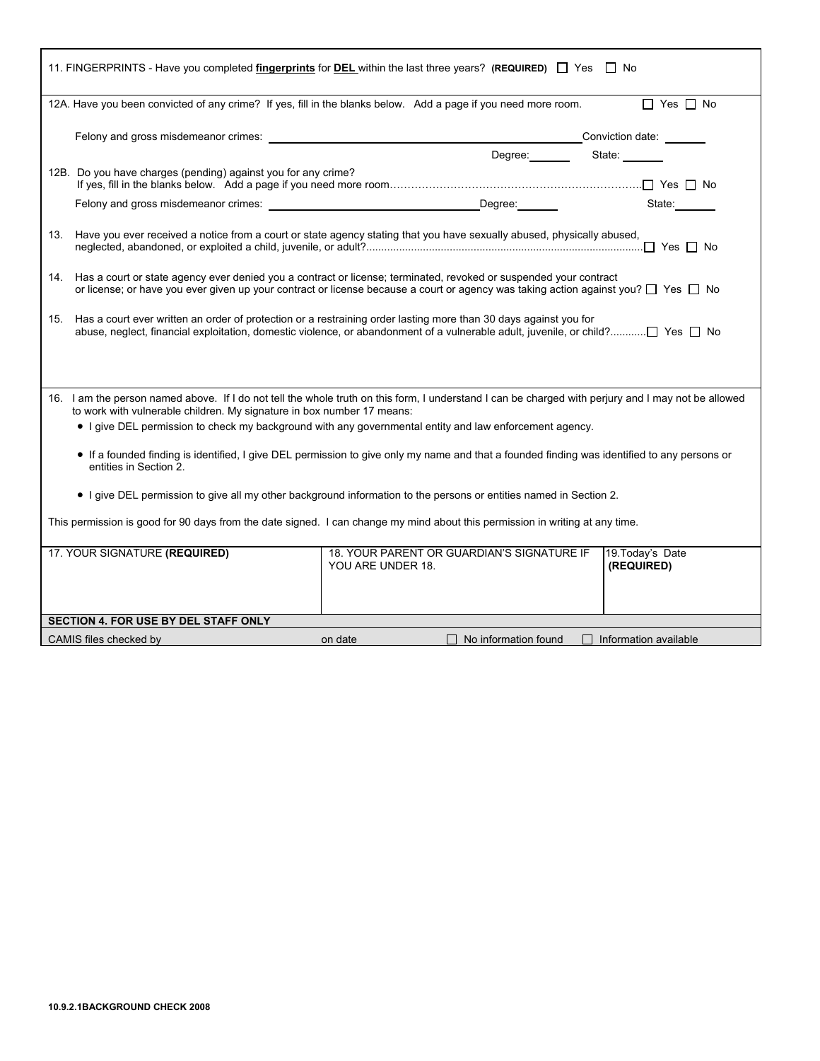|                                                                                                                                                                                                                                                                       | 11. FINGERPRINTS - Have you completed <i>fingerprints</i> for <b>DEL</b> within the last three years? (REQUIRED) $\Box$ Yes $\Box$ No               |                                |  |  |  |  |  |
|-----------------------------------------------------------------------------------------------------------------------------------------------------------------------------------------------------------------------------------------------------------------------|-----------------------------------------------------------------------------------------------------------------------------------------------------|--------------------------------|--|--|--|--|--|
|                                                                                                                                                                                                                                                                       | 12A. Have you been convicted of any crime? If yes, fill in the blanks below. Add a page if you need more room.                                      | $\Box$ Yes $\Box$ No           |  |  |  |  |  |
|                                                                                                                                                                                                                                                                       |                                                                                                                                                     |                                |  |  |  |  |  |
| 12B. Do you have charges (pending) against you for any crime?                                                                                                                                                                                                         | Degree: ________ State: ______                                                                                                                      |                                |  |  |  |  |  |
|                                                                                                                                                                                                                                                                       |                                                                                                                                                     | State: 11                      |  |  |  |  |  |
| 13.                                                                                                                                                                                                                                                                   | Have you ever received a notice from a court or state agency stating that you have sexually abused, physically abused,                              |                                |  |  |  |  |  |
| 14. Has a court or state agency ever denied you a contract or license; terminated, revoked or suspended your contract<br>or license; or have you ever given up your contract or license because a court or agency was taking action against you? $\Box$ Yes $\Box$ No |                                                                                                                                                     |                                |  |  |  |  |  |
| 15.                                                                                                                                                                                                                                                                   | Has a court ever written an order of protection or a restraining order lasting more than 30 days against you for                                    |                                |  |  |  |  |  |
| to work with vulnerable children. My signature in box number 17 means:                                                                                                                                                                                                | 16. I am the person named above. If I do not tell the whole truth on this form, I understand I can be charged with perjury and I may not be allowed |                                |  |  |  |  |  |
|                                                                                                                                                                                                                                                                       | • I give DEL permission to check my background with any governmental entity and law enforcement agency.                                             |                                |  |  |  |  |  |
| • If a founded finding is identified, I give DEL permission to give only my name and that a founded finding was identified to any persons or<br>entities in Section 2.                                                                                                |                                                                                                                                                     |                                |  |  |  |  |  |
|                                                                                                                                                                                                                                                                       | • I give DEL permission to give all my other background information to the persons or entities named in Section 2.                                  |                                |  |  |  |  |  |
| This permission is good for 90 days from the date signed. I can change my mind about this permission in writing at any time.                                                                                                                                          |                                                                                                                                                     |                                |  |  |  |  |  |
| 17. YOUR SIGNATURE (REQUIRED)                                                                                                                                                                                                                                         | 18. YOUR PARENT OR GUARDIAN'S SIGNATURE IF<br>YOU ARE UNDER 18.                                                                                     | 19. Today's Date<br>(REQUIRED) |  |  |  |  |  |
| SECTION 4. FOR USE BY DEL STAFF ONLY                                                                                                                                                                                                                                  |                                                                                                                                                     |                                |  |  |  |  |  |
| CAMIS files checked by                                                                                                                                                                                                                                                | on date<br>$\Box$ No information found                                                                                                              | $\Box$ Information available   |  |  |  |  |  |

г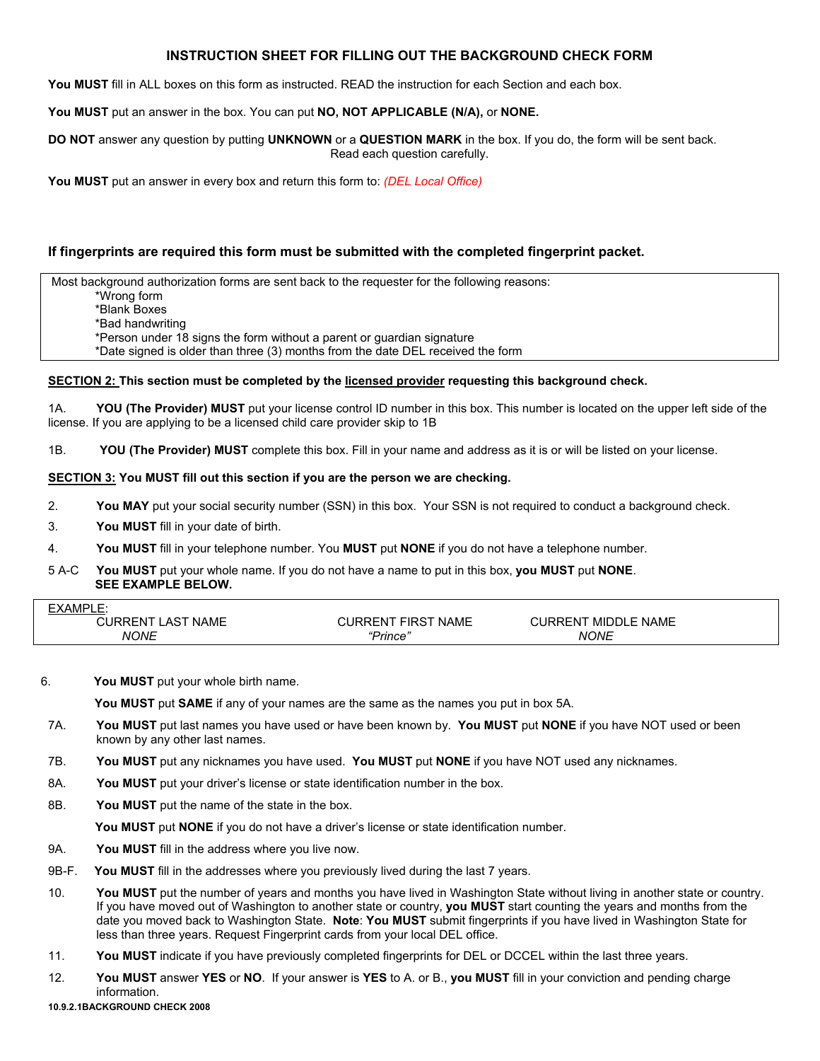## **INSTRUCTION SHEET FOR FILLING OUT THE BACKGROUND CHECK FORM**

You MUST fill in ALL boxes on this form as instructed. READ the instruction for each Section and each box.

**You MUST** put an answer in the box. You can put **NO, NOT APPLICABLE (N/A),** or **NONE.** 

**DO NOT** answer any question by putting **UNKNOWN** or a **QUESTION MARK** in the box. If you do, the form will be sent back. Read each question carefully.

**You MUST** put an answer in every box and return this form to: *(DEL Local Office)*

## **If fingerprints are required this form must be submitted with the completed fingerprint packet.**

 Most background authorization forms are sent back to the requester for the following reasons: \*Wrong form \*Blank Boxes \*Bad handwriting

\*Person under 18 signs the form without a parent or guardian signature

\*Date signed is older than three (3) months from the date DEL received the form

#### **SECTION 2: This section must be completed by the licensed provider requesting this background check.**

1A. **YOU (The Provider) MUST** put your license control ID number in this box. This number is located on the upper left side of the license. If you are applying to be a licensed child care provider skip to 1B

1B. **YOU (The Provider) MUST** complete this box. Fill in your name and address as it is or will be listed on your license.

### **SECTION 3: You MUST fill out this section if you are the person we are checking.**

- 2. **You MAY** put your social security number (SSN) in this box. Your SSN is not required to conduct a background check.
- 3. **You MUST** fill in your date of birth.
- 4. **You MUST** fill in your telephone number. You **MUST** put **NONE** if you do not have a telephone number.
- 5 A-C **You MUST** put your whole name. If you do not have a name to put in this box, **you MUST** put **NONE**. **SEE EXAMPLE BELOW.**

| -MP'<br><b>ື∨</b><br><b>XA</b><br>__              |                                |                      |  |
|---------------------------------------------------|--------------------------------|----------------------|--|
| <b>NAME</b><br>_AS <sup>~</sup><br><b>JIRRENT</b> | FIRST<br><b>NAME</b><br>IRRFN. | MIDDLE NAME<br>URRFN |  |
| <b>NONE</b>                                       | 'Prince'                       | <b>NONE</b>          |  |

#### 6. **You MUST** put your whole birth name.

 **You MUST** put **SAME** if any of your names are the same as the names you put in box 5A.

- 7A. **You MUST** put last names you have used or have been known by. **You MUST** put **NONE** if you have NOT used or been known by any other last names.
- 7B. **You MUST** put any nicknames you have used. **You MUST** put **NONE** if you have NOT used any nicknames.
- 8A. **You MUST** put your driver's license or state identification number in the box.
- 8B. **You MUST** put the name of the state in the box.

 **You MUST** put **NONE** if you do not have a driver's license or state identification number.

- 9A. **You MUST** fill in the address where you live now.
- 9B-F. **You MUST** fill in the addresses where you previously lived during the last 7 years.
- 10. **You MUST** put the number of years and months you have lived in Washington State without living in another state or country. If you have moved out of Washington to another state or country, **you MUST** start counting the years and months from the date you moved back to Washington State. **Note**: **You MUST** submit fingerprints if you have lived in Washington State for less than three years. Request Fingerprint cards from your local DEL office.
- 11. **You MUST** indicate if you have previously completed fingerprints for DEL or DCCEL within the last three years.
- 12. **You MUST** answer **YES** or **NO**. If your answer is **YES** to A. or B., **you MUST** fill in your conviction and pending charge information.